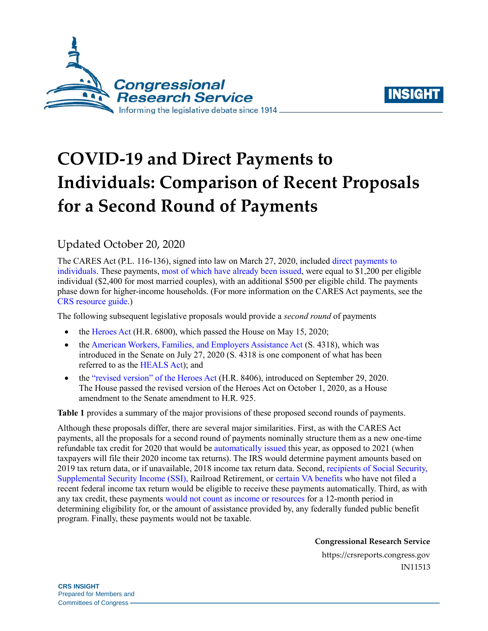



## **COVID-19 and Direct Payments to Individuals: Comparison of Recent Proposals for a Second Round of Payments**

## Updated October 20, 2020

The CARES Act [\(P.L. 116-136\)](http://www.congress.gov/cgi-lis/bdquery/R?d116:FLD002:@1(116+136)), signed into law on March 27, 2020, included [direct payments to](https://crsreports.congress.gov/product/pdf/IN/IN11282)  [individuals.](https://crsreports.congress.gov/product/pdf/IN/IN11282) These payments, [most of which have](https://www.irs.gov/newsroom/irs-statement-on-economic-impact-payments-by-state-as-of-aug-28-2020) already been issued, were equal to \$1,200 per eligible individual (\$2,400 for most married couples), with an additional \$500 per eligible child. The payments phase down for higher-income households. (For more information on the CARES Act payments, see the [CRS resource guide.](https://crsreports.congress.gov/product/pdf/R/R46415))

The following subsequent legislative proposals would provide a *second round* of payments

- the [Heroes Act](https://crsreports.congress.gov/product/pdf/IN/IN11397) [\(H.R. 6800\)](http://www.congress.gov/cgi-lis/bdquery/z?d116:H.R.6800:), which passed the House on May 15, 2020;
- th[e American Workers, Families, and Employers Assistance Act](https://crsreports.congress.gov/product/pdf/IN/IN11473) [\(S. 4318\)](http://www.congress.gov/cgi-lis/bdquery/z?d116:S.4318:), which was introduced in the Senate on July 27, 2020 [\(S. 4318](http://www.congress.gov/cgi-lis/bdquery/z?d116:S.4318:) is one component of what has been referred to as the [HEALS Act\)](https://www.mcconnell.senate.gov/public/index.cfm/2020/7/mcconnell-outlines-historic-relief-proposal-for-an-important-crossroads-in-this-battle); and
- the ["revised version" of the Heroes Act](https://appropriations.house.gov/sites/democrats.appropriations.house.gov/files/SUPP_SEP_01_ALL_xml.2020.9.28.1753.pdf) [\(H.R. 8406\)](http://www.congress.gov/cgi-lis/bdquery/z?d116:H.R.8406:), introduced on September 29, 2020. The House passed the revised version of the Heroes Act on October 1, 2020, as a House amendment to the Senate amendment to [H.R. 925.](http://www.congress.gov/cgi-lis/bdquery/z?d116:H.R.925:)

**[Table 1](#page-1-0)** provides a summary of the major provisions of these proposed second rounds of payments.

Although these proposals differ, there are several major similarities. First, as with the CARES Act payments, all the proposals for a second round of payments nominally structure them as a new one-time refundable tax credit for 2020 that would b[e automatically issued](https://crsreports.congress.gov/product/pdf/IN/IN11247) this year, as opposed to 2021 (when taxpayers will file their 2020 income tax returns). The IRS would determine payment amounts based on 2019 tax return data, or if unavailable, 2018 income tax return data. Second, [recipients of Social Security,](https://crsreports.congress.gov/product/pdf/IN/IN11290)  [Supplemental Security Income \(SSI\),](https://crsreports.congress.gov/product/pdf/IN/IN11290) Railroad Retirement, or [certain VA benefits](https://crsreports.congress.gov/product/pdf/IN/IN11375) who have not filed a recent federal income tax return would be eligible to receive these payments automatically. Third, as with any tax credit, these payments [would not count as income or resources](https://www.law.cornell.edu/uscode/text/26/6409) for a 12-month period in determining eligibility for, or the amount of assistance provided by, any federally funded public benefit program. Finally, these payments would not be taxable.

**Congressional Research Service**

https://crsreports.congress.gov IN11513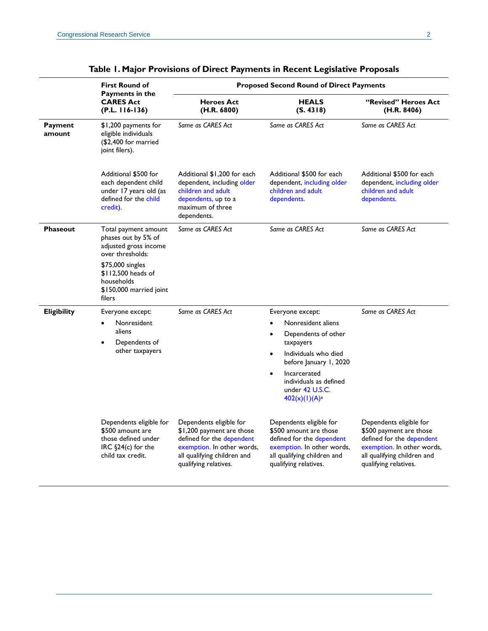<span id="page-1-0"></span>

|                    | <b>First Round of</b><br><b>Payments in the</b><br><b>CARES Act</b><br>$(P.L. 116-136)$                       | <b>Proposed Second Round of Direct Payments</b>                                                                                                                         |                                                                                                                                                                                                                                                  |                                                                                                                                                                       |
|--------------------|---------------------------------------------------------------------------------------------------------------|-------------------------------------------------------------------------------------------------------------------------------------------------------------------------|--------------------------------------------------------------------------------------------------------------------------------------------------------------------------------------------------------------------------------------------------|-----------------------------------------------------------------------------------------------------------------------------------------------------------------------|
|                    |                                                                                                               | <b>Heroes Act</b><br>(H.R. 6800)                                                                                                                                        | <b>HEALS</b><br>(S. 4318)                                                                                                                                                                                                                        | "Revised" Heroes Act<br>(H.R. 8406)                                                                                                                                   |
| Payment<br>amount  | \$1,200 payments for<br>eligible individuals<br>(\$2,400 for married<br>joint filers).                        | Same as CARES Act                                                                                                                                                       | Same as CARES Act                                                                                                                                                                                                                                | Same as CARES Act                                                                                                                                                     |
|                    | Additional \$500 for<br>each dependent child<br>under 17 years old (as<br>defined for the child<br>credit).   | Additional \$1,200 for each<br>dependent, including older<br>children and adult<br>dependents, up to a<br>maximum of three<br>dependents.                               | Additional \$500 for each<br>dependent, including older<br>children and adult<br>dependents.                                                                                                                                                     | Additional \$500 for each<br>dependent, including older<br>children and adult<br>dependents.                                                                          |
| Phaseout           | Total payment amount<br>phases out by 5% of<br>adjusted gross income<br>over thresholds:                      | Same as CARES Act                                                                                                                                                       | Same as CARES Act                                                                                                                                                                                                                                | Same as CARES Act                                                                                                                                                     |
|                    | \$75,000 singles<br>\$112,500 heads of<br>households<br>\$150,000 married joint<br>filers                     |                                                                                                                                                                         |                                                                                                                                                                                                                                                  |                                                                                                                                                                       |
| <b>Eligibility</b> | Everyone except:<br>Nonresident<br>aliens<br>Dependents of<br>other taxpayers                                 | Same as CARES Act                                                                                                                                                       | Everyone except:<br>Nonresident aliens<br>Dependents of other<br>$\bullet$<br>taxpayers<br>Individuals who died<br>before January 1, 2020<br>Incarcerated<br>$\bullet$<br>individuals as defined<br>under 42 U.S.C.<br>402(x)(1)(A) <sup>a</sup> | Same as CARES Act                                                                                                                                                     |
|                    | Dependents eligible for<br>\$500 amount are<br>those defined under<br>IRC §24(c) for the<br>child tax credit. | Dependents eligible for<br>\$1,200 payment are those<br>defined for the dependent<br>exemption. In other words,<br>all qualifying children and<br>qualifying relatives. | Dependents eligible for<br>\$500 amount are those<br>defined for the dependent<br>exemption. In other words,<br>all qualifying children and<br>qualifying relatives.                                                                             | Dependents eligible for<br>\$500 payment are those<br>defined for the dependent<br>exemption. In other words,<br>all qualifying children and<br>qualifying relatives. |

| Table 1. Major Provisions of Direct Payments in Recent Legislative Proposals |  |
|------------------------------------------------------------------------------|--|
|------------------------------------------------------------------------------|--|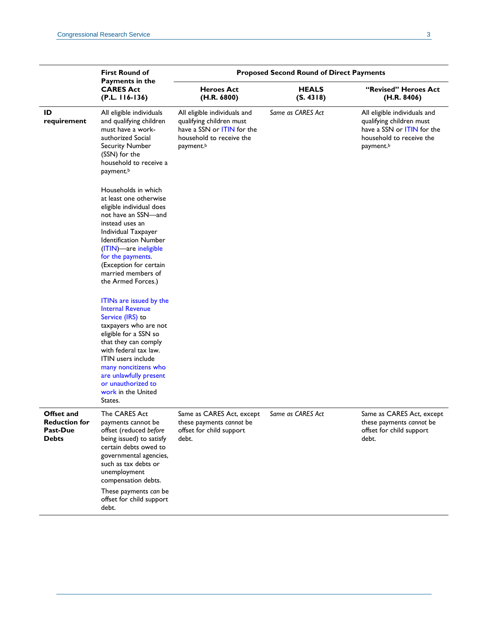|                                                                | <b>First Round of</b><br>Payments in the<br><b>CARES Act</b><br>$(P.L. 116-136)$                                                                                                                                                                                                                                | <b>Proposed Second Round of Direct Payments</b>                                                                                             |                           |                                                                                                                                 |  |
|----------------------------------------------------------------|-----------------------------------------------------------------------------------------------------------------------------------------------------------------------------------------------------------------------------------------------------------------------------------------------------------------|---------------------------------------------------------------------------------------------------------------------------------------------|---------------------------|---------------------------------------------------------------------------------------------------------------------------------|--|
|                                                                |                                                                                                                                                                                                                                                                                                                 | <b>Heroes Act</b><br>(H.R. 6800)                                                                                                            | <b>HEALS</b><br>(S. 4318) | "Revised" Heroes Act<br>(H.R. 8406)                                                                                             |  |
| ID<br>requirement                                              | All eligible individuals<br>and qualifying children<br>must have a work-<br>authorized Social<br><b>Security Number</b><br>(SSN) for the<br>household to receive a<br>payment. <sup>b</sup>                                                                                                                     | All eligible individuals and<br>qualifying children must<br>have a SSN or ITIN for the<br>household to receive the<br>payment. <sup>b</sup> | Same as CARES Act         | All eligible individuals and<br>qualifying children must<br>have a SSN or ITIN for the<br>household to receive the<br>payment.b |  |
|                                                                | Households in which<br>at least one otherwise<br>eligible individual does<br>not have an SSN—and<br>instead uses an<br>Individual Taxpayer<br><b>Identification Number</b><br>(ITIN)-are ineligible<br>for the payments.<br>(Exception for certain<br>married members of<br>the Armed Forces.)                  |                                                                                                                                             |                           |                                                                                                                                 |  |
|                                                                | ITINs are issued by the<br><b>Internal Revenue</b><br>Service (IRS) to<br>taxpayers who are not<br>eligible for a SSN so<br>that they can comply<br>with federal tax law.<br><b>ITIN</b> users include<br>many noncitizens who<br>are unlawfully present<br>or unauthorized to<br>work in the United<br>States. |                                                                                                                                             |                           |                                                                                                                                 |  |
| Offset and<br><b>Reduction for</b><br>Past-Due<br><b>Debts</b> | The CARES Act<br>payments cannot be<br>offset (reduced before<br>being issued) to satisfy<br>certain debts owed to<br>governmental agencies,<br>such as tax debts or<br>unemployment<br>compensation debts.<br>These payments can be<br>offset for child support<br>debt.                                       | Same as CARES Act, except<br>these payments cannot be<br>offset for child support<br>debt.                                                  | Same as CARES Act         | Same as CARES Act, except<br>these payments cannot be<br>offset for child support<br>debt.                                      |  |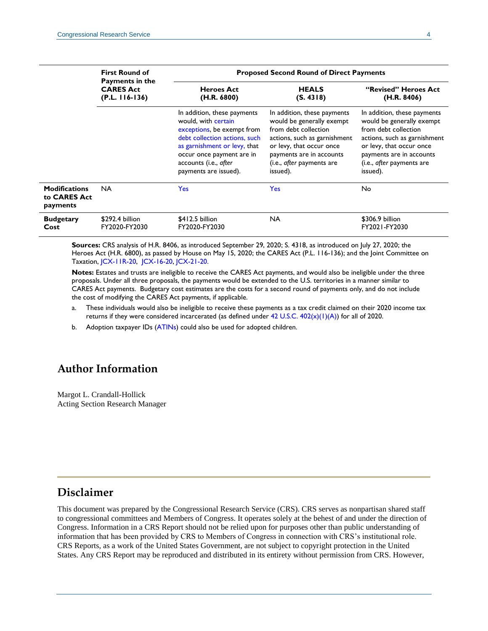|                                           | <b>First Round of</b><br>Payments in the<br><b>CARES Act</b><br>$(P.L. 116-136)$ | <b>Proposed Second Round of Direct Payments</b>                                                                                                                                                                                  |                                                                                                                                                                                                                   |                                                                                                                                                                                                                   |
|-------------------------------------------|----------------------------------------------------------------------------------|----------------------------------------------------------------------------------------------------------------------------------------------------------------------------------------------------------------------------------|-------------------------------------------------------------------------------------------------------------------------------------------------------------------------------------------------------------------|-------------------------------------------------------------------------------------------------------------------------------------------------------------------------------------------------------------------|
|                                           |                                                                                  | <b>Heroes Act</b><br>(H.R. 6800)                                                                                                                                                                                                 | <b>HEALS</b><br>(S. 4318)                                                                                                                                                                                         | "Revised" Heroes Act<br>(H.R. 8406)                                                                                                                                                                               |
|                                           |                                                                                  | In addition, these payments<br>would, with certain<br>exceptions, be exempt from<br>debt collection actions, such<br>as garnishment or levy, that<br>occur once payment are in<br>accounts (i.e., after<br>payments are issued). | In addition, these payments<br>would be generally exempt<br>from debt collection<br>actions, such as garnishment<br>or levy, that occur once<br>payments are in accounts<br>(i.e., after payments are<br>issued). | In addition, these payments<br>would be generally exempt<br>from debt collection<br>actions, such as garnishment<br>or levy, that occur once<br>payments are in accounts<br>(i.e., after payments are<br>issued). |
| Modifications<br>to CARES Act<br>payments | <b>NA</b>                                                                        | <b>Yes</b>                                                                                                                                                                                                                       | <b>Yes</b>                                                                                                                                                                                                        | No                                                                                                                                                                                                                |
| <b>Budgetary</b><br>Cost                  | \$292.4 billion<br>FY2020-FY2030                                                 | \$412.5 billion<br>FY2020-FY2030                                                                                                                                                                                                 | <b>NA</b>                                                                                                                                                                                                         | \$306.9 billion<br>FY2021-FY2030                                                                                                                                                                                  |

**Sources:** CRS analysis of [H.R. 8406,](http://www.congress.gov/cgi-lis/bdquery/z?d116:H.R.8406:) as introduced September 29, 2020; [S. 4318,](http://www.congress.gov/cgi-lis/bdquery/z?d116:S.4318:) as introduced on July 27, 2020; the Heroes Act [\(H.R. 6800\)](http://www.congress.gov/cgi-lis/bdquery/z?d116:H.R.6800:), as passed by House on May 15, 2020; the CARES Act [\(P.L. 116-136\)](http://www.congress.gov/cgi-lis/bdquery/R?d116:FLD002:@1(116+136)); and the Joint Committee on Taxation, [JCX-11R-20,](https://www.jct.gov/publications/2020/jcx-11r-20/) [JCX-16-20,](https://www.jct.gov/publications/2020/jcx-16-20/) [JCX-21-20.](https://www.jct.gov/publications/jcx-21-20/)

**Notes:** Estates and trusts are ineligible to receive the CARES Act payments, and would also be ineligible under the three proposals. Under all three proposals, the payments would be extended to the U.S. territories in a manner similar to CARES Act payments. Budgetary cost estimates are the costs for a second round of payments only, and do not include the cost of modifying the CARES Act payments, if applicable.

- <span id="page-3-0"></span>a. These individuals would also be ineligible to receive these payments as a tax credit claimed on their 2020 income tax returns if they were considered incarcerated (as defined under  $42$  U.S.C.  $402(x)(1)(A)$ ) for all of 2020.
- <span id="page-3-1"></span>b. Adoption taxpayer IDs [\(ATINs\)](https://www.irs.gov/individuals/adoption-taxpayer-identification-number) could also be used for adopted children.

## **Author Information**

Margot L. Crandall-Hollick Acting Section Research Manager

## **Disclaimer**

This document was prepared by the Congressional Research Service (CRS). CRS serves as nonpartisan shared staff to congressional committees and Members of Congress. It operates solely at the behest of and under the direction of Congress. Information in a CRS Report should not be relied upon for purposes other than public understanding of information that has been provided by CRS to Members of Congress in connection with CRS's institutional role. CRS Reports, as a work of the United States Government, are not subject to copyright protection in the United States. Any CRS Report may be reproduced and distributed in its entirety without permission from CRS. However,